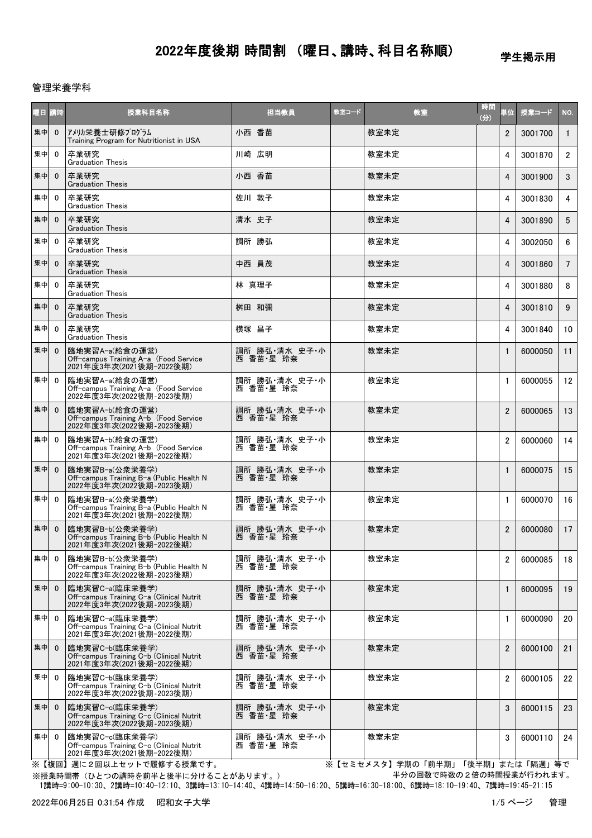学生掲示用

#### 管理栄養学科

| 曜日 講時 |              | 授業科目名称                                                                                 | 担当教員                       | 教室コード | 教室   | 時間<br>(分) | 単位             | 授業コード   | NO.             |
|-------|--------------|----------------------------------------------------------------------------------------|----------------------------|-------|------|-----------|----------------|---------|-----------------|
| 集中    | $\mathbf{0}$ | アメリカ栄養士研修プログラム<br>Training Program for Nutritionist in USA                             | 小西 香苗                      |       | 教室未定 |           | $\overline{2}$ | 3001700 | $\mathbf{1}$    |
| 集中    | $\mathbf{0}$ | 卒業研究<br><b>Graduation Thesis</b>                                                       | 川崎 広明                      |       | 教室未定 |           | 4              | 3001870 | $\overline{2}$  |
| 集中    | $\mathbf{0}$ | 卒業研究<br><b>Graduation Thesis</b>                                                       | 小西 香苗                      |       | 教室未定 |           | 4              | 3001900 | 3               |
| 集中    | $\mathbf{0}$ | 卒業研究<br><b>Graduation Thesis</b>                                                       | 佐川 敦子                      |       | 教室未定 |           | 4              | 3001830 | 4               |
| 集中    | $\mathbf{0}$ | 卒業研究<br><b>Graduation Thesis</b>                                                       | 清水 史子                      |       | 教室未定 |           | 4              | 3001890 | 5               |
| 集中    | $\mathbf{0}$ | 卒業研究<br><b>Graduation Thesis</b>                                                       | 調所 勝弘                      |       | 教室未定 |           | 4              | 3002050 | 6               |
| 集中    | $\mathbf 0$  | 卒業研究<br><b>Graduation Thesis</b>                                                       | 中西 員茂                      |       | 教室未定 |           | 4              | 3001860 | $7^{\circ}$     |
| 集中    | $\mathbf{0}$ | 卒業研究<br><b>Graduation Thesis</b>                                                       | 林 真理子                      |       | 教室未定 |           | 4              | 3001880 | 8               |
| 集中    | $\mathbf{0}$ | 卒業研究<br><b>Graduation Thesis</b>                                                       | 桝田 和彌                      |       | 教室未定 |           | 4              | 3001810 | 9               |
| 集中    | $\mathbf{0}$ | 卒業研究<br><b>Graduation Thesis</b>                                                       | 横塚 昌子                      |       | 教室未定 |           | 4              | 3001840 | 10 <sup>1</sup> |
| 集中    | $\mathbf{0}$ | 臨地実習A-a(給食の運営)<br>Off-campus Training A-a (Food Service<br>2021年度3年次(2021後期-2022後期)    | 調所 勝弘 清水 史子・小<br>西 香苗·星 玲奈 |       | 教室未定 |           | $\mathbf{1}$   | 6000050 | 11              |
| 集中    | $\mathbf{0}$ | 臨地実習A-a(給食の運営)<br>Off-campus Training A-a (Food Service<br>2022年度3年次(2022後期-2023後期)    | 調所 勝弘 清水 史子・小<br>西 香苗·星 玲奈 |       | 教室未定 |           | $\mathbf{1}$   | 6000055 | 12              |
| 集中    | $\mathbf{0}$ | 臨地実習A-b(給食の運営)<br>Off-campus Training A-b (Food Service<br>2022年度3年次(2022後期-2023後期)    | 調所 勝弘 清水 史子・小<br>西 香苗·星 玲奈 |       | 教室未定 |           | $\overline{2}$ | 6000065 | 13              |
| 集中    | $\mathbf{0}$ | 臨地実習A-b(給食の運営)<br>Off-campus Training A-b (Food Service<br>2021年度3年次(2021後期-2022後期)    | 調所 勝弘 清水 史子・小<br>西 香苗·星 玲奈 |       | 教室未定 |           | $\overline{2}$ | 6000060 | 14              |
| 集中    | $\mathbf 0$  | 臨地実習B-a(公衆栄養学)<br>Off-campus Training B-a (Public Health N<br>2022年度3年次(2022後期-2023後期) | 調所 勝弘・清水 史子・小<br>西 香苗·星 玲奈 |       | 教室未定 |           | $\mathbf{1}$   | 6000075 | 15              |
| 集中    | $\mathbf{0}$ | 臨地実習B-a(公衆栄養学)<br>Off-campus Training B-a (Public Health N<br>2021年度3年次(2021後期-2022後期) | 調所 勝弘 清水 史子・小<br>西 香苗·星 玲奈 |       | 教室未定 |           | $\mathbf{1}$   | 6000070 | 16              |
| 集中    | $\mathbf 0$  | 臨地実習B-b(公衆栄養学)<br>Off-campus Training B-b (Public Health N<br>2021年度3年次(2021後期-2022後期) | 調所 勝弘・清水 史子・小<br>西 香苗・星 玲奈 |       | 教室未定 |           | $\overline{2}$ | 6000080 | 17              |
| 集中    | $\mathbf{0}$ | 臨地実習B-b(公衆栄養学)<br>Off-campus Training B-b (Public Health N<br>2022年度3年次(2022後期-2023後期) | 調所 勝弘 清水 史子・小<br>西 香苗・星 玲奈 |       | 教室未定 |           | 2              | 6000085 | 18              |
| 集中    | $\mathbf{0}$ | 臨地実習C-a(臨床栄養学)<br>Off-campus Training C-a (Clinical Nutrit<br>2022年度3年次(2022後期-2023後期) | 調所 勝弘・清水 史子・小<br>西 香苗·星 玲奈 |       | 教室未定 |           | $\mathbf{1}$   | 6000095 | 19              |
| 集中    | $\mathbf{0}$ | 臨地実習C-a(臨床栄養学)<br>Off-campus Training C-a (Clinical Nutrit<br>2021年度3年次(2021後期-2022後期) | 調所 勝弘・清水 史子・小<br>西 香苗・星 玲奈 |       | 教室未定 |           | $\mathbf{1}$   | 6000090 | 20              |
| 集中    | $\mathbf{0}$ | 臨地実習C-b(臨床栄養学)<br>Off-campus Training C-b (Clinical Nutrit<br>2021年度3年次(2021後期-2022後期) | 調所 勝弘・清水 史子・小<br>西 香苗·星 玲奈 |       | 教室未定 |           | $\overline{2}$ | 6000100 | 21              |
| 集中    | $\Omega$     | 臨地実習C-b(臨床栄養学)<br>Off-campus Training C-b (Clinical Nutrit<br>2022年度3年次(2022後期-2023後期) | 調所 勝弘 清水 史子・小<br>西 香苗・星 玲奈 |       | 教室未定 |           | $\overline{2}$ | 6000105 | 22              |
| 集中    | $\mathbf{0}$ | 臨地実習C−c(臨床栄養学)<br>Off-campus Training C-c (Clinical Nutrit<br>2022年度3年次(2022後期-2023後期) | 調所 勝弘・清水 史子・小<br>西 香苗·星 玲奈 |       | 教室未定 |           | 3              | 6000115 | 23              |
| 集中    | $\Omega$     | 臨地実習C-c(臨床栄養学)<br>Off-campus Training C-c (Clinical Nutrit<br>2021年度3年次(2021後期-2022後期) | 調所 勝弘 清水 史子・小<br>西 香苗·星 玲奈 |       | 教室未定 |           | 3              | 6000110 | 24              |

※【複回】週に2回以上セットで履修する授業です。 ※【セミセメスタ】学期の「前半期」「後半期」または「隔週」等で 半分の回数で時数の2倍の時間授業が行われます。

 1講時=9:00-10:30、2講時=10:40-12:10、3講時=13:10-14:40、4講時=14:50-16:20、5講時=16:30-18:00、6講時=18:10-19:40、7講時=19:45-21:15 ※授業時間帯(ひとつの講時を前半と後半に分けることがあります。)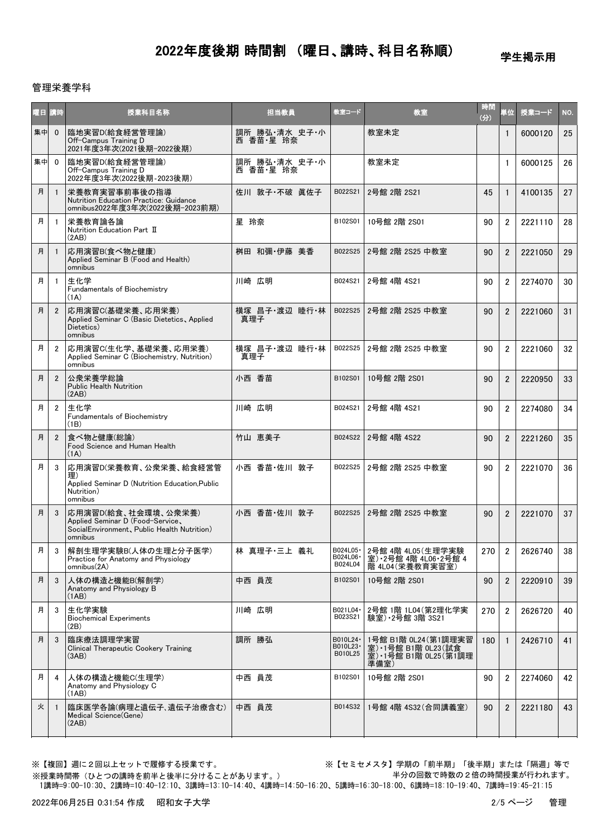学生掲示用

#### 管理栄養学科

| 曜日 講時 |                | 授業科目名称                                                                                                            | 担当教員                       | 教室コード                             | 教室                                                                             | 時間<br>(分) | 単位             | 授業コード   | NO.             |
|-------|----------------|-------------------------------------------------------------------------------------------------------------------|----------------------------|-----------------------------------|--------------------------------------------------------------------------------|-----------|----------------|---------|-----------------|
| 集中    | $\mathbf{0}$   | 臨地実習D(給食経営管理論)<br>Off-Campus Training D<br>2021年度3年次(2021後期-2022後期)                                               | 調所 勝弘・清水 史子・小<br>西 香苗·星 玲奈 |                                   | 教室未定                                                                           |           | 1              | 6000120 | 25              |
| 集中    | $\mathbf{0}$   | 臨地実習D(給食経営管理論)<br>Off-Campus Training D<br>2022年度3年次(2022後期-2023後期)                                               | 調所 勝弘・清水 史子・小<br>西 香苗・星 玲奈 |                                   | 教室未定                                                                           |           | $\mathbf{1}$   | 6000125 | 26              |
| 月     | $\overline{1}$ | 栄養教育実習事前事後の指導<br>Nutrition Education Practice: Guidance<br>omnibus2022年度3年次(2022後期-2023前期)                        | 佐川 敦子・不破 眞佐子               | B022S21                           | 2号館 2階 2S21                                                                    | 45        | $\mathbf{1}$   | 4100135 | 27              |
| 月     | $\overline{1}$ | 栄養教育論各論<br>Nutrition Education Part II<br>(2AB)                                                                   | 星 玲奈                       | B102S01                           | 10号館 2階 2S01                                                                   | 90        | $\overline{2}$ | 2221110 | 28              |
| 月     | $\overline{1}$ | 応用演習B(食べ物と健康)<br>Applied Seminar B (Food and Health)<br>omnibus                                                   | 桝田 和彌·伊藤 美香                | B022S25                           | 2号館 2階 2S25 中教室                                                                | 90        | $\overline{2}$ | 2221050 | 29              |
| 月     | -1             | 生化学<br><b>Fundamentals of Biochemistry</b><br>(1A)                                                                | 川崎 広明                      | B024S21                           | 2号館 4階 4S21                                                                    | 90        | $\overline{2}$ | 2274070 | 30              |
| 月     | $\overline{2}$ | 応用演習C(基礎栄養、応用栄養)<br>Applied Seminar C (Basic Dietetics, Applied<br>Dietetics)<br>omnibus                          | 横塚 昌子·渡辺 睦行·林<br>真理子       | B022S25                           | 2号館 2階 2S25 中教室                                                                | 90        | $\overline{2}$ | 2221060 | 31              |
| 月     | $\overline{2}$ | 応用演習C(生化学、基礎栄養、応用栄養)<br>Applied Seminar C (Biochemistry, Nutrition)<br>omnibus                                    | 横塚 昌子·渡辺 睦行·林<br>真理子       | B022S25                           | 2号館 2階 2S25 中教室                                                                | 90        | $\overline{2}$ | 2221060 | 32              |
| 月     | $\overline{2}$ | 公衆栄養学総論<br><b>Public Health Nutrition</b><br>(2AB)                                                                | 小西 香苗                      | B102S01                           | 10号館 2階 2S01                                                                   | 90        | $\overline{2}$ | 2220950 | 33              |
| 月     | $\overline{2}$ | 生化学<br>Fundamentals of Biochemistry<br>(1B)                                                                       | 川崎 広明                      | B024S21                           | 2号館 4階 4S21                                                                    | 90        | $\overline{2}$ | 2274080 | 34              |
| 月     | $\overline{2}$ | 食べ物と健康(総論)<br>Food Science and Human Health<br>(1A)                                                               | 竹山 恵美子                     | B024S22                           | 2号館 4階 4S22                                                                    | 90        | $\overline{2}$ | 2221260 | 35 <sub>5</sub> |
| 月     | 3              | 応用演習D(栄養教育、公衆栄養、給食経営管<br>理)<br>Applied Seminar D (Nutrition Education, Public<br>Nutrition)<br>omnibus            | 小西 香苗·佐川 敦子                | B022S25                           | 2号館 2階 2S25 中教室                                                                | 90        | $\overline{2}$ | 2221070 | 36              |
| 月     | 3              | 応用演習D(給食、社会環境、公衆栄養)<br>Applied Seminar D (Food-Service,<br>SocialEnvironment, Public Health Nutrition)<br>omnibus | 小西 香苗·佐川 敦子                |                                   | B022S25 2号館 2階 2S25 中教室                                                        | 90        | $\overline{2}$ | 2221070 | 37              |
| 月     | 3              | 解剖生理学実験B(人体の生理と分子医学)<br>Practice for Anatomy and Physiology<br>omnibus(2A)                                        | 林 真理子·三上 義礼                | B024L05 ·<br>B024L06 ·<br>B024L04 | 2号館 4階 4L05(生理学実験<br>室) 2号館 4階 4L06 2号館 4<br>階 4L04 (栄養教育実習室)                  | 270       | 2              | 2626740 | 38              |
| 月     | 3              | 人体の構造と機能B(解剖学)<br>Anatomy and Physiology B<br>(1AB)                                                               | 中西 員茂                      | B102S01                           | 10号館 2階 2S01                                                                   | 90        | $\overline{2}$ | 2220910 | 39              |
| 月     | 3              | 生化学実験<br><b>Biochemical Experiments</b><br>(2B)                                                                   | 川崎 広明                      | B021L04 ·<br>B023S21              | 2号館 1階 1L04(第2理化学実<br>験室) • 2号館 3階 3S21                                        | 270       | $\overline{2}$ | 2626720 | 40              |
| 月     | 3              | 臨床療法調理学実習<br>Clinical Therapeutic Cookery Training<br>(3AB)                                                       | 調所 勝弘                      | B010L24 ·<br>B010L23-<br>B010L25  | 1号館 B1階 0L24(第1調理実習<br>室) - 1号館 B1階 0L23(試食<br>室) · 1号館 B1階 0L25 (第1調理<br>準備室) | 180       |                | 2426710 | 41              |
| 月     | 4              | 人体の構造と機能C(生理学)<br>Anatomy and Physiology C<br>(1AB)                                                               | 中西 員茂                      | B102S01                           | 10号館 2階 2S01                                                                   | 90        | $\overline{2}$ | 2274060 | 42              |
| 火     | $\overline{1}$ | 臨床医学各論(病理と遺伝子、遺伝子治療含む)<br>Medical Science (Gene)<br>(2AB)                                                         | 中西 員茂                      | B014S32                           | 1号館 4階 4S32(合同講義室)                                                             | 90        | $\overline{2}$ | 2221180 | 43              |

※授業時間帯(ひとつの講時を前半と後半に分けることがあります。)

※【複回】週に2回以上セットで履修する授業です。 ※【セミセメスタ】学期の「前半期」「後半期」または「隔週」等で 半分の回数で時数の2倍の時間授業が行われます。

1講時=9:00-10:30、2講時=10:40-12:10、3講時=13:10-14:40、4講時=14:50-16:20、5講時=16:30-18:00、6講時=18:10-19:40、7講時=19:45-21:15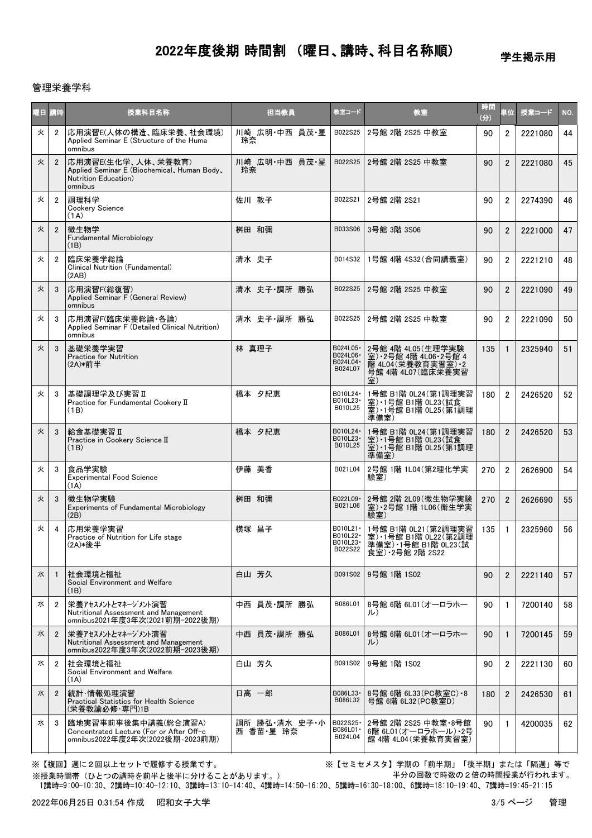学生掲示用

#### 管理栄養学科

| 曜日 講時 |                | 授業科目名称                                                                                               | 担当教員                       | 教室コード                                          | 教室                                                                                          | 時間<br>(分) | 単位             | 授業コード   | NO. |
|-------|----------------|------------------------------------------------------------------------------------------------------|----------------------------|------------------------------------------------|---------------------------------------------------------------------------------------------|-----------|----------------|---------|-----|
| 火     | $\overline{2}$ | 応用演習E(人体の構造、臨床栄養、社会環境)<br>Applied Seminar E (Structure of the Huma<br>omnibus                        | 川崎 広明・中西 員茂・星<br>玲奈        | B022S25                                        | 2号館 2階 2S25 中教室                                                                             | 90        | $\overline{2}$ | 2221080 | 44  |
| 火     | $\overline{2}$ | 応用演習E(生化学、人体、栄養教育)<br>Applied Seminar E (Biochemical, Human Body,<br>Nutrition Education)<br>omnibus | 川崎 広明・中西 員茂・星<br>玲奈        | B022S25                                        | 2号館 2階 2S25 中教室                                                                             | 90        | $\overline{2}$ | 2221080 | 45  |
| 火     | $\overline{2}$ | 調理科学<br>Cookery Science<br>(1A)                                                                      | 佐川 敦子                      | B022S21                                        | 2号館 2階 2S21                                                                                 | 90        | $\overline{2}$ | 2274390 | 46  |
| 火     | $\overline{2}$ | 微生物学<br>Fundamental Microbiology<br>(1B)                                                             | 桝田 和彌                      | B033S06                                        | 3号館 3階 3S06                                                                                 | 90        | $\overline{2}$ | 2221000 | 47  |
| 火     | $\overline{2}$ | 臨床栄養学総論<br>Clinical Nutrition (Fundamental)<br>(2AB)                                                 | 清水 史子                      | B014S32                                        | 1号館 4階 4S32 (合同講義室)                                                                         | 90        | $\overline{2}$ | 2221210 | 48  |
| 火     | 3              | 応用演習F(総復習)<br>Applied Seminar F (General Review)<br>omnibus                                          | 清水 史子·調所 勝弘                | B022S25                                        | 2号館 2階 2S25 中教室                                                                             | 90        | $\overline{2}$ | 2221090 | 49  |
| 火     | 3              | 応用演習F(臨床栄養総論·各論)<br>Applied Seminar F (Detailed Clinical Nutrition)<br>omnibus                       | 清水 史子·調所 勝弘                | B022S25                                        | 2号館 2階 2S25 中教室                                                                             | 90        | $\overline{2}$ | 2221090 | 50  |
| 火     | 3              | 基礎栄養学実習<br><b>Practice for Nutrition</b><br>(2A)*前半                                                  | 林 真理子                      | B024L05 ·<br>B024L06 ·<br>B024L04 ·<br>B024L07 | 2号館 4階 4L05 (生理学実験<br>室) 2号館 4階 4L06 2号館 4<br>階 4L04 (栄養教育実習室) 2<br>号館 4階 4L07(臨床栄養実習<br>室) | 135       | $\mathbf{1}$   | 2325940 | 51  |
| 火     | 3              | 基礎調理学及び実習Ⅱ<br>Practice for Fundamental Cookery II<br>(1B)                                            | 橋本 夕紀恵                     | B010L24 ·<br>B010L23-<br>B010L25               | 1号館 B1階 0L24 (第1調理実習<br>室) 1号館 B1階 0L23(試食<br>室) 1号館 B1階 0L25(第1調理<br>準備室)                  | 180       | $\overline{2}$ | 2426520 | 52  |
| 火     | 3              | 給食基礎実習 II<br>Practice in Cookery Science II<br>(1B)                                                  | 橋本 夕紀恵                     | B010L24 ·<br>B010L23-<br>B010L25               | 1号館 B1階 0L24 (第1調理実習<br>室)·1号館 B1階 0L23(試食<br>室) 1号館 B1階 0L25 (第1調理<br>準備室)                 | 180       | $\overline{2}$ | 2426520 | 53  |
| 火     | 3              | 食品学実験<br><b>Experimental Food Science</b><br>(1A)                                                    | 伊藤 美香                      | B021L04                                        | 2号館 1階 1L04 (第2理化学実<br>験室)                                                                  | 270       | $\overline{2}$ | 2626900 | 54  |
| 火     | 3              | 微生物学実験<br>Experiments of Fundamental Microbiology<br>(2B)                                            | 桝田 和彌                      | B022L09 ·<br>B021L06                           | 2号館 2階 2L09 (微生物学実験<br>室) · 2号館 1階 1L06 (衛生学実<br>験室)                                        | 270       | $\overline{2}$ | 2626690 | 55  |
| 火     | 4              | 応用栄養学実習<br>Practice of Nutrition for Life stage<br>(2A)*後半                                           | 横塚 昌子                      | B010L21 ·<br>B010L22 ·<br>B010L23 ·<br>B022S22 | 1号館 B1階 0L21 (第2調理実習<br>室) · 1号館 B1階 0L22 (第2調理<br>準備室)•1号館 B1階 0L23(試<br>食室) • 2号館 2階 2S22 | 135       | $\mathbf{1}$   | 2325960 | 56  |
| 水     | -1             | 社会環境と福祉<br>Social Environment and Welfare<br>(1B)                                                    | 白山 芳久                      | B091S02                                        | 9号館 1階 1S02                                                                                 | 90        | $\overline{2}$ | 2221140 | 57  |
| 水     | $\overline{2}$ | 栄養アセスメントとマネージメント演習<br>Nutritional Assessment and Management<br>omnibus2021年度3年次(2021前期-2022後期)       | 中西 員茂·調所 勝弘                | B086L01                                        | 8号館 6階 6L01 (オーロラホー<br>ル)                                                                   | 90        | $\mathbf{1}$   | 7200140 | 58  |
| 水     | $\overline{2}$ | 栄養アセスメントとマネージメント演習<br>Nutritional Assessment and Management<br>omnibus2022年度3年次(2022前期-2023後期)       | 中西 員茂·調所 勝弘                | B086L01                                        | 8号館 6階 6L01(オーロラホー<br>ル)                                                                    | 90        | $\mathbf{1}$   | 7200145 | 59  |
| 水     | $\overline{2}$ | 社会環境と福祉<br>Social Environment and Welfare<br>(1A)                                                    | 白山 芳久                      | B091S02                                        | 9号館 1階 1S02                                                                                 | 90        | $\overline{2}$ | 2221130 | 60  |
| 水     | $\overline{2}$ | 統計·情報処理演習<br>Practical Statistics for Health Science<br>(栄養教諭必修·専門)1B                                | 日髙 一郎                      | B086L33 ·<br>B086L32                           | 8号館 6階 6L33(PC教室C)・8<br>号館 6階 6L32(PC教室D)                                                   | 180       | $\overline{2}$ | 2426530 | 61  |
| 水     | 3              | 臨地実習事前事後集中講義(総合演習A)<br>Concentrated Lecture (For or After Off-c<br>omnibus2022年度2年次(2022後期-2023前期)   | 調所 勝弘・清水 史子・小<br>西 香苗·星 玲奈 | B022S25-<br>B086L01 ·<br>B024L04               | 2号館 2階 2S25 中教室・8号館<br>6階 6L01 (オーロラホール) · 2号<br>館 4階 4L04(栄養教育実習室)                         | 90        | -1             | 4200035 | 62  |

※【複回】週に2回以上セットで履修する授業です。 ※【セミセメスタ】学期の「前半期」「後半期」または「隔週」等で 半分の回数で時数の2倍の時間授業が行われます。

 1講時=9:00-10:30、2講時=10:40-12:10、3講時=13:10-14:40、4講時=14:50-16:20、5講時=16:30-18:00、6講時=18:10-19:40、7講時=19:45-21:15 ※授業時間帯(ひとつの講時を前半と後半に分けることがあります。)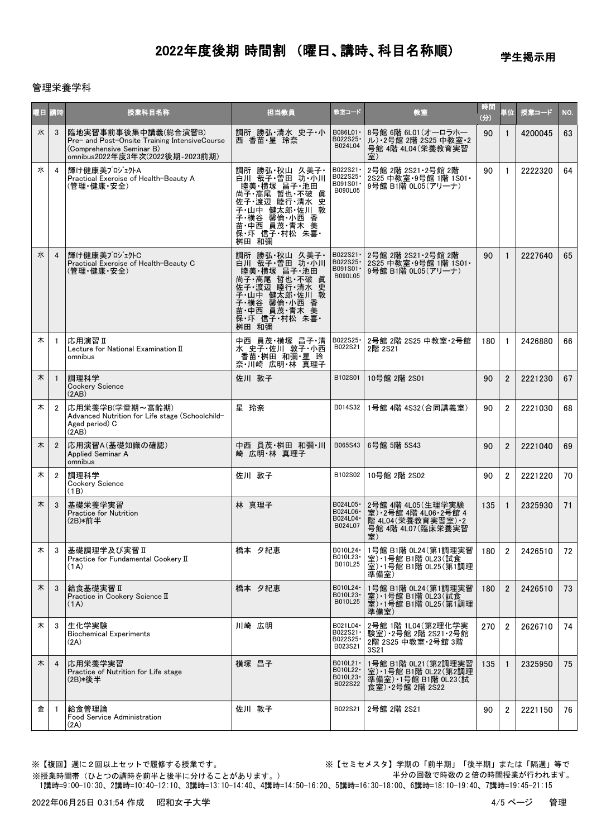学生掲示用

### 管理栄養学科

| 曜日 講時 |                       | 授業科目名称                                                                                                                               | 担当教員                                                                                                                                                        | 教室コード                                          | 教室                                                                                            | 時間<br>(分) | 単位             | 授業コード   | NO. |
|-------|-----------------------|--------------------------------------------------------------------------------------------------------------------------------------|-------------------------------------------------------------------------------------------------------------------------------------------------------------|------------------------------------------------|-----------------------------------------------------------------------------------------------|-----------|----------------|---------|-----|
| 水     | 3                     | 臨地実習事前事後集中講義(総合演習B)<br>Pre- and Post-Onsite Training IntensiveCourse<br>(Comprehensive Seminar B)<br>omnibus2022年度3年次(2022後期-2023前期) | 調所 勝弘・清水 史子・小<br>西 香苗·星 玲奈                                                                                                                                  | B086L01 ·<br>B022S25-<br>B024L04               | 8号館 6階 6L01 (オーロラホー<br>ル)·2号館 2階 2S25 中教室·2<br>号館 4階 4L04 (栄養教育実習<br>室)                       | 90        |                | 4200045 | 63  |
| 水     | 4                     | 輝け健康美プロジェクトA<br>Practical Exercise of Health-Beauty A<br>(管理・健康・安全)                                                                  | 調所 勝弘・秋山 久美子・<br>白川 哉子 曽田 功 小川<br>睦美·横塚 昌子·池田<br>尚子 高尾 哲也 不破 眞<br>佐子 渡辺 睦行 清水 史<br>子·山中 健太郎·佐川 敦<br>子 横谷 馨倫 小西 香<br>苗 中西 員茂 青不 美<br>保 圷 信子 村松 朱喜<br>桝田 和彌   | B022S21 ·<br>B022S25<br>B091S01-<br>B090L05    | 2号館 2階 2S21·2号館 2階<br>2S25 中教室·9号館 1階 1S01·<br>9号館 B1階 0L05(アリーナ)                             | 90        | $\mathbf{1}$   | 2222320 | 64  |
| 水     | 4                     | 輝け健康美プロジェクトC<br>Practical Exercise of Health-Beauty C<br>(管理・健康・安全)                                                                  | 調所 勝弘 秋山 久美子・<br>『山田 哉子 曽田 功・小川<br>陸美 横塚 昌子 池田<br>尚子 高尾 哲也 不破 眞<br>佐子·渡辺 睦行·清水 史<br>子·山中 健太郎·佐川 敦<br>子·横谷 馨倫·小西 香<br>苗·中西 員茂·青木 美<br>保·圷 信子·村松 朱喜·<br>桝田 和彌 | B022S21 ·<br>B022S25-<br>B091S01 ·<br>B090L05  | 2号館 2階 2S21·2号館 2階<br>2S25 中教室 9号館 1階 1S01 ·<br>9号館 B1階 0L05 (アリーナ)                           | 90        | $\mathbf{1}$   | 2227640 | 65  |
| 木     | -1                    | 応用演習Ⅱ<br>Lecture for National Examination II<br>omnibus                                                                              | 中西 員茂 横塚 昌子 清<br>水 史子 佐川 敦子 小西<br>香苗・桝田 和彌・星 玲<br>奈·川崎 広明·林 真理子                                                                                             | B022S25 ·<br>B022S21                           | 2号館 2階 2S25 中教室·2号館<br>2階 2S21                                                                | 180       | $\mathbf{1}$   | 2426880 | 66  |
| 木     |                       | 調理科学<br><b>Cookery Science</b><br>(2AB)                                                                                              | 佐川 敦子                                                                                                                                                       | B102S01                                        | 10号館 2階 2S01                                                                                  | 90        | $\overline{2}$ | 2221230 | 67  |
| 木     | $\overline{2}$        | 応用栄養学B(学童期~高齢期)<br>Advanced Nutrition for Life stage (Schoolchild-<br>Aged period) C<br>(2AB)                                        | 星 玲奈                                                                                                                                                        | B014S32                                        | 1号館 4階 4S32(合同講義室)                                                                            | 90        | $\overline{2}$ | 2221030 | 68  |
| 木     | $\mathbf{2}^{\prime}$ | 応用演習A(基礎知識の確認)<br>Applied Seminar A<br>omnibus                                                                                       | 中西 員茂・桝田 和彌・川<br>崎 広明・林 真理子                                                                                                                                 | B065S43                                        | 6号館 5階 5S43                                                                                   | 90        | $\overline{2}$ | 2221040 | 69  |
| 木     | $\mathbf{2}^{\circ}$  | 調理科学<br>Cookery Science<br>(1B)                                                                                                      | 佐川 敦子                                                                                                                                                       | B102S02                                        | 10号館 2階 2S02                                                                                  | 90        | $\overline{2}$ | 2221220 | 70  |
| 木     | 3                     | 基礎栄養学実習<br><b>Practice for Nutrition</b><br>(2B)*前半                                                                                  | 林 真理子                                                                                                                                                       | B024L05 ·<br>B024L06 ·<br>B024L04 ·<br>B024L07 | 2号館 4階 4L05 (生理学実験<br>室) 2号館 4階 4L06 2号館 4<br>階 4L04 (栄養教育実習室) 2<br>号館 4階 4L07 (臨床栄養実習<br>室)  | 135       | $\mathbf{1}$   | 2325930 | 71  |
| 木     | 3                     | 基礎調理学及び実習Ⅱ<br>Practice for Fundamental Cookery II<br>(1A)                                                                            | 橋本 夕紀恵                                                                                                                                                      | B010L24 ·<br>B010L23 ·<br>B010L25              | 1号館 B1階 0L24(第1調理実習<br>室) 1号館 B1階 0L23(試食<br>室) 1号館 B1階 0L25 (第1調理<br>準備室)                    | 180       | 2              | 2426510 | 72  |
| 木     | 3                     | 給食基礎実習Ⅱ<br>Practice in Cookery Science II<br>(1A)                                                                                    | 橋本 夕紀恵                                                                                                                                                      | B010L24 ·<br>B010L23-<br>B010L25               | 1号館 B1階 0L24 (第1調理実習<br>室) 1号館 B1階 0L23 試食<br>室) · 1号館 B1階 0L25 (第1調理<br>準備室)                 | 180       | $\overline{2}$ | 2426510 | 73  |
| 木     | 3                     | 生化学実験<br><b>Biochemical Experiments</b><br>(2A)                                                                                      | 川崎 広明                                                                                                                                                       | B021L04 ·<br>B022S21 ·<br>B022S25·<br>B023S21  | 2号館 1階 1L04 (第2理化学実<br>験室) 2号館 2階 2S21 2号館<br>2階 2S25 中教室 2号館 3階<br>3S21                      | 270       | $\overline{2}$ | 2626710 | 74  |
| 木     | $\overline{4}$        | 応用栄養学実習<br>Practice of Nutrition for Life stage<br>(2B)*後半                                                                           | 横塚 昌子                                                                                                                                                       | B010L21 ·<br>B010L22 ·<br>B010L23-<br>B022S22  | 1号館 B1階 0L21(第2調理実習<br>室) · 1号館 B1階 0L22 (第2調理<br>準備室) · 1号館 B1階 0L23 (試<br>食室) · 2号館 2階 2S22 | 135       | 1              | 2325950 | 75  |
| 金     | -1                    | 給食管理論<br>Food Service Administration<br>(2A)                                                                                         | 佐川 敦子                                                                                                                                                       | B022S21                                        | 2号館 2階 2S21                                                                                   | 90        | $\overline{2}$ | 2221150 | 76  |

※授業時間帯(ひとつの講時を前半と後半に分けることがあります。)

※【複回】週に2回以上セットで履修する授業です。 ※【セミセメスタ】学期の「前半期」「後半期」または「隔週」等で 半分の回数で時数の2倍の時間授業が行われます。

1講時=9:00-10:30、2講時=10:40-12:10、3講時=13:10-14:40、4講時=14:50-16:20、5講時=16:30-18:00、6講時=18:10-19:40、7講時=19:45-21:15